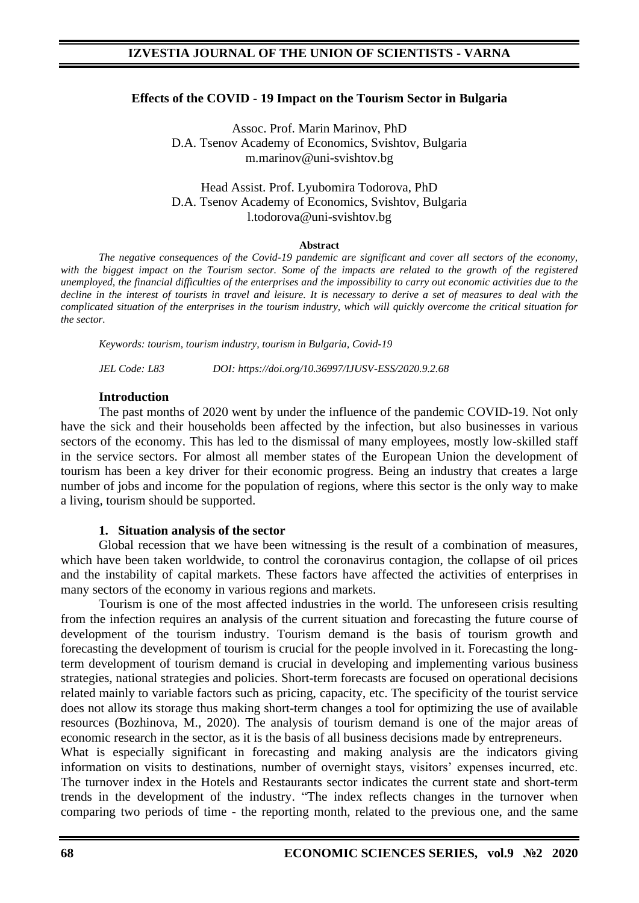## **Effects of the COVID - 19 Impact on the Tourism Sector in Bulgaria**

Assoc. Prof. Marin Marinov, PhD D.A. Tsenov Academy of Economics, Svishtov, Bulgaria m.marinov@uni-svishtov.bg

#### Head Assist. Prof. Lyubomira Todorova, PhD D.A. Tsenov Academy of Economics, Svishtov, Bulgaria l.todorova@uni-svishtov.bg

#### **Abstract**

*The negative consequences of the Covid-19 pandemic are significant and cover all sectors of the economy,*  with the biggest impact on the Tourism sector. Some of the impacts are related to the growth of the registered *unemployed, the financial difficulties of the enterprises and the impossibility to carry out economic activities due to the*  decline in the interest of tourists in travel and leisure. It is necessary to derive a set of measures to deal with the *complicated situation of the enterprises in the tourism industry, which will quickly overcome the critical situation for the sector.*

*Keywords: tourism, tourism industry, tourism in Bulgaria, Covid-19* 

*JEL Code: L83 DOI: https://doi.org/10.36997/IJUSV-ESS/2020.9.2.68*

#### **Introduction**

The past months of 2020 went by under the influence of the pandemic COVID-19. Not only have the sick and their households been affected by the infection, but also businesses in various sectors of the economy. This has led to the dismissal of many employees, mostly low-skilled staff in the service sectors. For almost all member states of the European Union the development of tourism has been a key driver for their economic progress. Being an industry that creates a large number of jobs and income for the population of regions, where this sector is the only way to make a living, tourism should be supported.

#### **1. Situation analysis of the sector**

Global recession that we have been witnessing is the result of a combination of measures, which have been taken worldwide, to control the coronavirus contagion, the collapse of oil prices and the instability of capital markets. These factors have affected the activities of enterprises in many sectors of the economy in various regions and markets.

Tourism is one of the most affected industries in the world. The unforeseen crisis resulting from the infection requires an analysis of the current situation and forecasting the future course of development of the tourism industry. Tourism demand is the basis of tourism growth and forecasting the development of tourism is crucial for the people involved in it. Forecasting the longterm development of tourism demand is crucial in developing and implementing various business strategies, national strategies and policies. Short-term forecasts are focused on operational decisions related mainly to variable factors such as pricing, capacity, etc. The specificity of the tourist service does not allow its storage thus making short-term changes a tool for optimizing the use of available resources (Bozhinova, M., 2020). The analysis of tourism demand is one of the major areas of economic research in the sector, as it is the basis of all business decisions made by entrepreneurs.

What is especially significant in forecasting and making analysis are the indicators giving information on visits to destinations, number of overnight stays, visitors' expenses incurred, etc. The turnover index in the Hotels and Restaurants sector indicates the current state and short-term trends in the development of the industry. "The index reflects changes in the turnover when comparing two periods of time - the reporting month, related to the previous one, and the same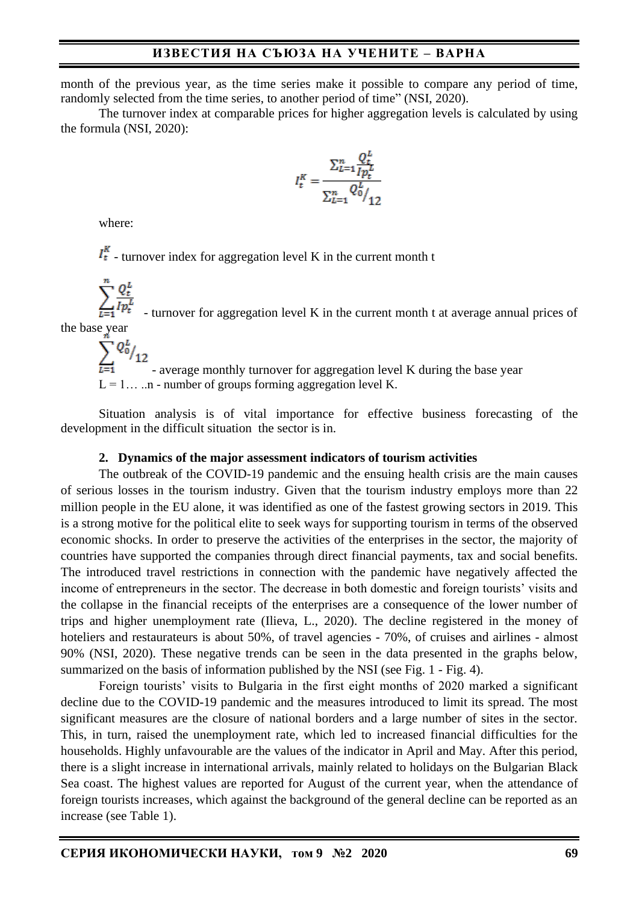month of the previous year, as the time series make it possible to compare any period of time, randomly selected from the time series, to another period of time" (NSI, 2020).

The turnover index at comparable prices for higher aggregation levels is calculated by using the formula (NSI, 2020):

$$
I_t^K = \frac{\sum_{L=1}^n \frac{Q_t^L}{I p_t^L}}{\sum_{L=1}^n {Q_0^L} / \frac{1}{12}}
$$

where:

 $I_t^K$  - turnover index for aggregation level K in the current month t

 $\sum_{L=1}^{n} \frac{Q_t^L}{I p_t^L}$  - turnover for aggregation level K in the current month t at average annual prices of the base year<br> $\sum_{n=1}^{n} Q_0^L /_{12}$ 

- average monthly turnover for aggregation level K during the base year

 $L = 1...$  ... n - number of groups forming aggregation level K.

Situation analysis is of vital importance for effective business forecasting of the development in the difficult situation the sector is in.

#### **2. Dynamics of the major assessment indicators of tourism activities**

The outbreak of the COVID-19 pandemic and the ensuing health crisis are the main causes of serious losses in the tourism industry. Given that the tourism industry employs more than 22 million people in the EU alone, it was identified as one of the fastest growing sectors in 2019. This is a strong motive for the political elite to seek ways for supporting tourism in terms of the observed economic shocks. In order to preserve the activities of the enterprises in the sector, the majority of countries have supported the companies through direct financial payments, tax and social benefits. The introduced travel restrictions in connection with the pandemic have negatively affected the income of entrepreneurs in the sector. The decrease in both domestic and foreign tourists' visits and the collapse in the financial receipts of the enterprises are a consequence of the lower number of trips and higher unemployment rate (Ilieva, L., 2020). The decline registered in the money of hoteliers and restaurateurs is about 50%, of travel agencies - 70%, of cruises and airlines - almost 90% (NSI, 2020). These negative trends can be seen in the data presented in the graphs below, summarized on the basis of information published by the NSI (see Fig. 1 - Fig. 4).

Foreign tourists' visits to Bulgaria in the first eight months of 2020 marked a significant decline due to the COVID-19 pandemic and the measures introduced to limit its spread. The most significant measures are the closure of national borders and a large number of sites in the sector. This, in turn, raised the unemployment rate, which led to increased financial difficulties for the households. Highly unfavourable are the values of the indicator in April and May. After this period, there is a slight increase in international arrivals, mainly related to holidays on the Bulgarian Black Sea coast. The highest values are reported for August of the current year, when the attendance of foreign tourists increases, which against the background of the general decline can be reported as an increase (see Table 1).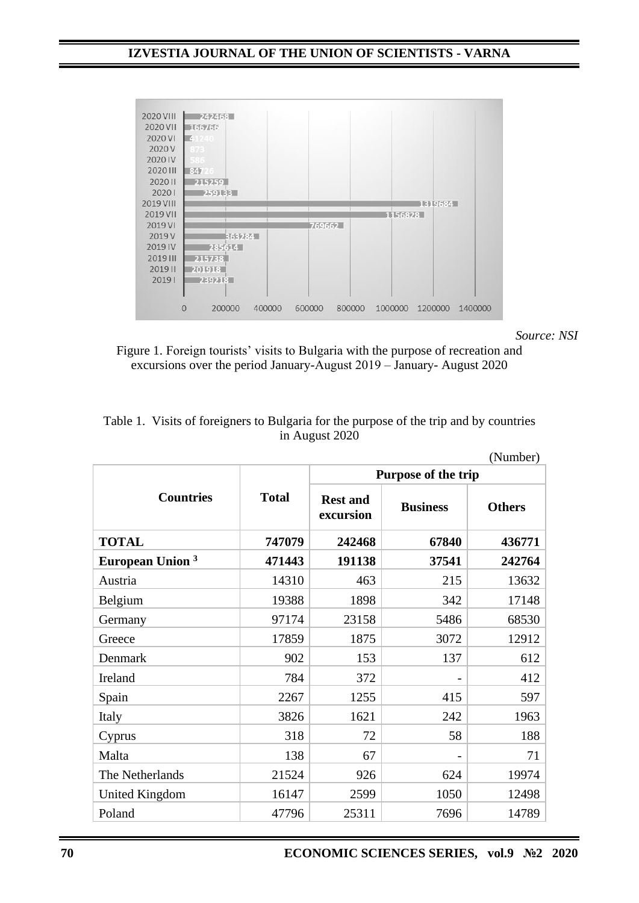

*Source: NSI* 

Figure 1. Foreign tourists' visits to Bulgaria with the purpose of recreation and excursions over the period January-August 2019 – January-August 2020

|                                    |              |                              |                 | (Number)      |
|------------------------------------|--------------|------------------------------|-----------------|---------------|
|                                    | <b>Total</b> | Purpose of the trip          |                 |               |
| <b>Countries</b>                   |              | <b>Rest and</b><br>excursion | <b>Business</b> | <b>Others</b> |
| <b>TOTAL</b>                       | 747079       | 242468                       | 67840           | 436771        |
| <b>European Union</b> <sup>3</sup> | 471443       | 191138                       | 37541           | 242764        |
| Austria                            | 14310        | 463                          | 215             | 13632         |
| Belgium                            | 19388        | 1898                         | 342             | 17148         |
| Germany                            | 97174        | 23158                        | 5486            | 68530         |
| Greece                             | 17859        | 1875                         | 3072            | 12912         |
| Denmark                            | 902          | 153                          | 137             | 612           |
| Ireland                            | 784          | 372                          |                 | 412           |
| Spain                              | 2267         | 1255                         | 415             | 597           |
| Italy                              | 3826         | 1621                         | 242             | 1963          |
| Cyprus                             | 318          | 72                           | 58              | 188           |
| Malta                              | 138          | 67                           | $\overline{a}$  | 71            |
| The Netherlands                    | 21524        | 926                          | 624             | 19974         |
| <b>United Kingdom</b>              | 16147        | 2599                         | 1050            | 12498         |
| Poland                             | 47796        | 25311                        | 7696            | 14789         |

| Table 1. Visits of foreigners to Bulgaria for the purpose of the trip and by countries |
|----------------------------------------------------------------------------------------|
| in August 2020                                                                         |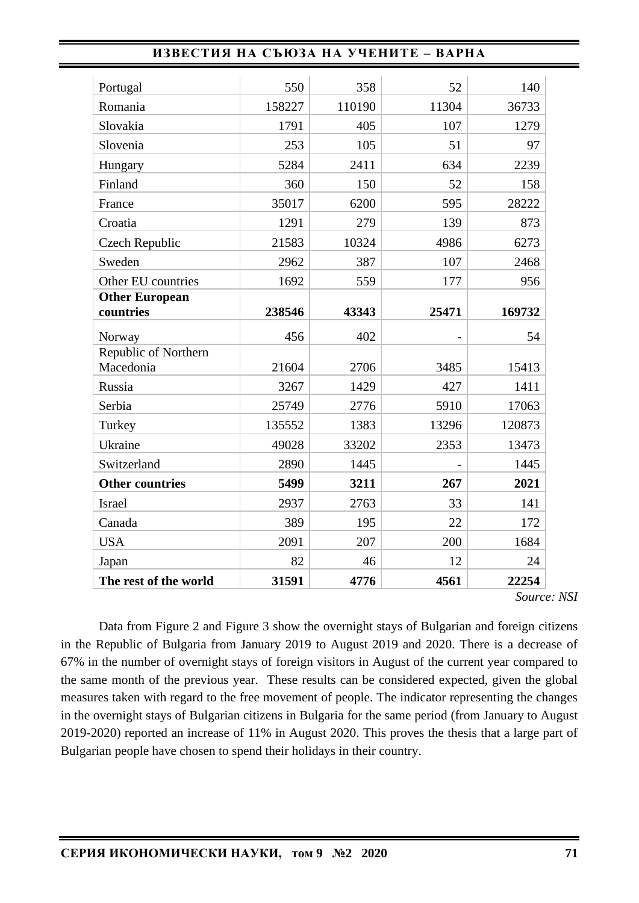| Portugal                           | 550    | 358    | 52    | 140    |
|------------------------------------|--------|--------|-------|--------|
| Romania                            | 158227 | 110190 | 11304 | 36733  |
| Slovakia                           | 1791   | 405    | 107   | 1279   |
| Slovenia                           | 253    | 105    | 51    | 97     |
| Hungary                            | 5284   | 2411   | 634   | 2239   |
| Finland                            | 360    | 150    | 52    | 158    |
| France                             | 35017  | 6200   | 595   | 28222  |
| Croatia                            | 1291   | 279    | 139   | 873    |
| Czech Republic                     | 21583  | 10324  | 4986  | 6273   |
| Sweden                             | 2962   | 387    | 107   | 2468   |
| Other EU countries                 | 1692   | 559    | 177   | 956    |
| <b>Other European</b><br>countries | 238546 | 43343  | 25471 | 169732 |
| Norway                             | 456    | 402    |       | 54     |
| Republic of Northern               |        |        |       |        |
| Macedonia                          | 21604  | 2706   | 3485  | 15413  |
| Russia                             | 3267   | 1429   | 427   | 1411   |
| Serbia                             | 25749  | 2776   | 5910  | 17063  |
| Turkey                             | 135552 | 1383   | 13296 | 120873 |
| Ukraine                            | 49028  | 33202  | 2353  | 13473  |
| Switzerland                        | 2890   | 1445   |       | 1445   |
| <b>Other countries</b>             | 5499   | 3211   | 267   | 2021   |
| <b>Israel</b>                      | 2937   | 2763   | 33    | 141    |
| Canada                             | 389    | 195    | 22    | 172    |
| <b>USA</b>                         | 2091   | 207    | 200   | 1684   |
| Japan                              | 82     | 46     | 12    | 24     |
| The rest of the world              | 31591  | 4776   | 4561  | 22254  |

*Source: NSI*

Data from Figure 2 and Figure 3 show the overnight stays of Bulgarian and foreign citizens in the Republic of Bulgaria from January 2019 to August 2019 and 2020. There is a decrease of 67% in the number of overnight stays of foreign visitors in August of the current year compared to the same month of the previous year. These results can be considered expected, given the global measures taken with regard to the free movement of people. The indicator representing the changes in the overnight stays of Bulgarian citizens in Bulgaria for the same period (from January to August 2019-2020) reported an increase of 11% in August 2020. This proves the thesis that a large part of Bulgarian people have chosen to spend their holidays in their country.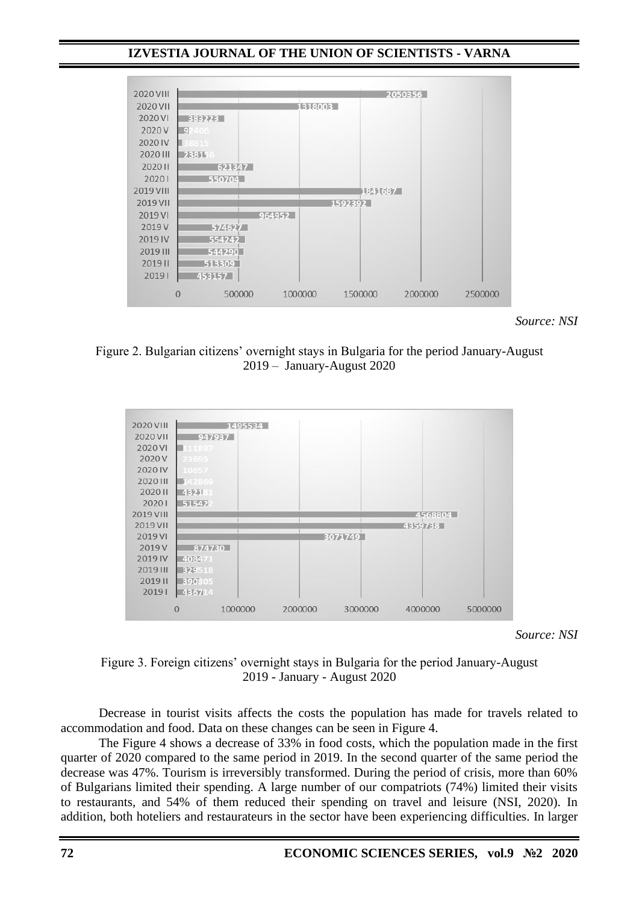## **IZVESTIA JOURNAL OF THE UNION OF SCIENTISTS - VARNA**



*Source: NSI*

Figure 2. Bulgarian citizens' overnight stays in Bulgaria for the period January-August 2019 ‒ January-August 2020



*Source: NSI*

#### Figure 3. Foreign citizens' overnight stays in Bulgaria for the period January-August 2019 - January - August 2020

Decrease in tourist visits affects the costs the population has made for travels related to accommodation and food. Data on these changes can be seen in Figure 4.

The Figure 4 shows a decrease of 33% in food costs, which the population made in the first quarter of 2020 compared to the same period in 2019. In the second quarter of the same period the decrease was 47%. Tourism is irreversibly transformed. During the period of crisis, more than 60% of Bulgarians limited their spending. A large number of our compatriots (74%) limited their visits to restaurants, and 54% of them reduced their spending on travel and leisure (NSI, 2020). In addition, both hoteliers and restaurateurs in the sector have been experiencing difficulties. In larger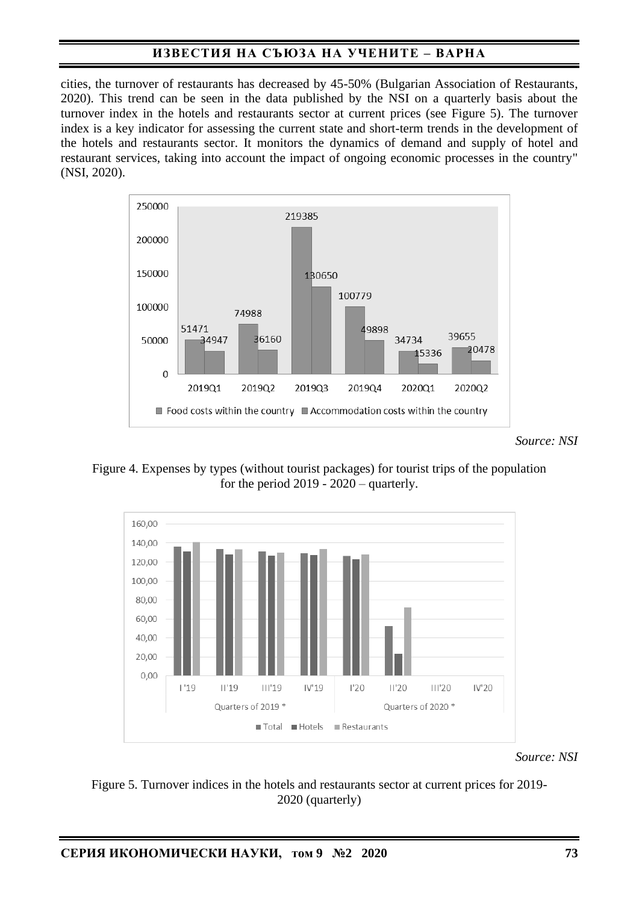cities, the turnover of restaurants has decreased by 45-50% (Bulgarian Association of Restaurants, 2020). This trend can be seen in the data published by the NSI on a quarterly basis about the turnover index in the hotels and restaurants sector at current prices (see Figure 5). The turnover index is a key indicator for assessing the current state and short-term trends in the development of the hotels and restaurants sector. It monitors the dynamics of demand and supply of hotel and restaurant services, taking into account the impact of ongoing economic processes in the country" (NSI, 2020).



*Source: NSI*

Figure 4. Expenses by types (without tourist packages) for tourist trips of the population for the period 2019 - 2020 – quarterly.



*Source: NSI*

Figure 5. Turnover indices in the hotels and restaurants sector at current prices for 2019- 2020 (quarterly)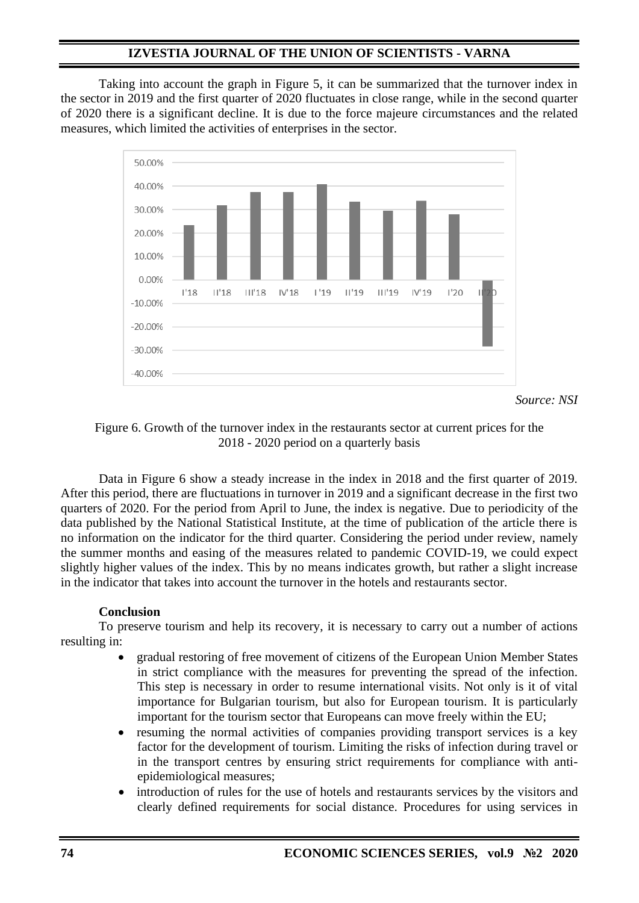## **IZVESTIA JOURNAL OF THE UNION OF SCIENTISTS - VARNA**

Taking into account the graph in Figure 5, it can be summarized that the turnover index in the sector in 2019 and the first quarter of 2020 fluctuates in close range, while in the second quarter of 2020 there is a significant decline. It is due to the force majeure circumstances and the related measures, which limited the activities of enterprises in the sector.



*Source: NSI*

## Figure 6. Growth of the turnover index in the restaurants sector at current prices for the 2018 - 2020 period on a quarterly basis

Data in Figure 6 show a steady increase in the index in 2018 and the first quarter of 2019. After this period, there are fluctuations in turnover in 2019 and a significant decrease in the first two quarters of 2020. For the period from April to June, the index is negative. Due to periodicity of the data published by the National Statistical Institute, at the time of publication of the article there is no information on the indicator for the third quarter. Considering the period under review, namely the summer months and easing of the measures related to pandemic COVID-19, we could expect slightly higher values of the index. This by no means indicates growth, but rather a slight increase in the indicator that takes into account the turnover in the hotels and restaurants sector.

## **Conclusion**

To preserve tourism and help its recovery, it is necessary to carry out a number of actions resulting in:

- gradual restoring of free movement of citizens of the European Union Member States in strict compliance with the measures for preventing the spread of the infection. This step is necessary in order to resume international visits. Not only is it of vital importance for Bulgarian tourism, but also for European tourism. It is particularly important for the tourism sector that Europeans can move freely within the EU;
- resuming the normal activities of companies providing transport services is a key factor for the development of tourism. Limiting the risks of infection during travel or in the transport centres by ensuring strict requirements for compliance with antiepidemiological measures;
- introduction of rules for the use of hotels and restaurants services by the visitors and clearly defined requirements for social distance. Procedures for using services in